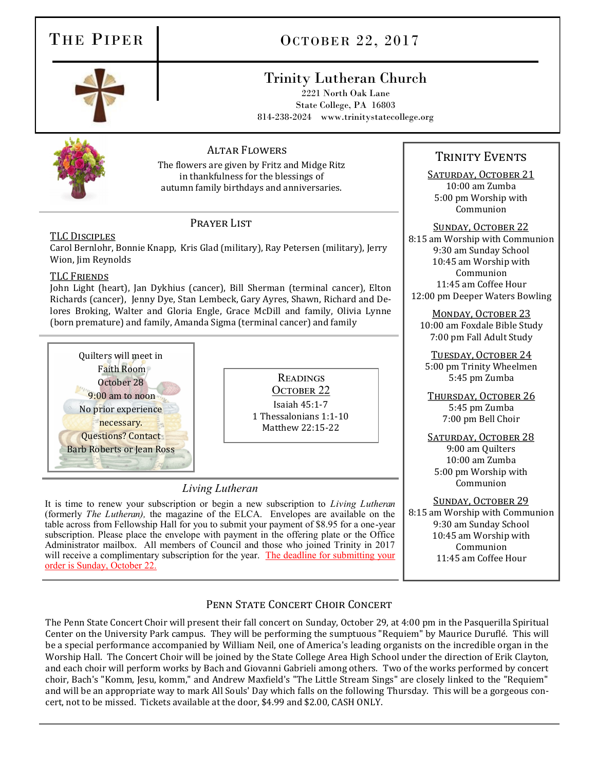### THE PIPER COCTOBER 22, 2017

### Trinity Lutheran Church

2221 North Oak Lane State College, PA 16803 814-238-2024 www.trinitystatecollege.org



### Altar Flowers

The flowers are given by Fritz and Midge Ritz in thankfulness for the blessings of autumn family birthdays and anniversaries.

### Prayer List

TLC Disciples Carol Bernlohr, Bonnie Knapp, Kris Glad (military), Ray Petersen (military), Jerry Wion, Jim Reynolds

### TLC Friends

John Light (heart), Jan Dykhius (cancer), Bill Sherman (terminal cancer), Elton Richards (cancer), Jenny Dye, Stan Lembeck, Gary Ayres, Shawn, Richard and Delores Broking, Walter and Gloria Engle, Grace McDill and family, Olivia Lynne (born premature) and family, Amanda Sigma (terminal cancer) and family



Readings OCTOBER 22 Isaiah 45:1-7 1 Thessalonians 1:1-10 Matthew 22:15-22

### *Living Lutheran*

It is time to renew your subscription or begin a new subscription to *Living Lutheran*  (formerly *The Lutheran),* the magazine of the ELCA. Envelopes are available on the table across from Fellowship Hall for you to submit your payment of \$8.95 for a one-year subscription. Please place the envelope with payment in the offering plate or the Office Administrator mailbox. All members of Council and those who joined Trinity in 2017 will receive a complimentary subscription for the year. The deadline for submitting your order is Sunday, October 22.

### TRINITY EVENTS

SATURDAY, OCTOBER 21 10:00 am Zumba 5:00 pm Worship with Communion

Sunday, October 22 8:15 am Worship with Communion 9:30 am Sunday School 10:45 am Worship with Communion 11:45 am Coffee Hour 12:00 pm Deeper Waters Bowling

MONDAY, OCTOBER 23 10:00 am Foxdale Bible Study 7:00 pm Fall Adult Study

TUESDAY, OCTOBER 24 5:00 pm Trinity Wheelmen 5:45 pm Zumba

THURSDAY, OCTOBER 26 5:45 pm Zumba 7:00 pm Bell Choir

SATURDAY, OCTOBER 28 9:00 am Quilters 10:00 am Zumba 5:00 pm Worship with Communion

SUNDAY, OCTOBER 29 8:15 am Worship with Communion 9:30 am Sunday School 10:45 am Worship with Communion 11:45 am Coffee Hour

### PENN STATE CONCERT CHOIR CONCERT

The Penn State Concert Choir will present their fall concert on Sunday, October 29, at 4:00 pm in the Pasquerilla Spiritual Center on the University Park campus. They will be performing the sumptuous "Requiem" by Maurice Durufle . This will be a special performance accompanied by William Neil, one of America's leading organists on the incredible organ in the Worship Hall. The Concert Choir will be joined by the State College Area High School under the direction of Erik Clayton, and each choir will perform works by Bach and Giovanni Gabrieli among others. Two of the works performed by concert choir, Bach's "Komm, Jesu, komm," and Andrew Maxfield's "The Little Stream Sings" are closely linked to the "Requiem" and will be an appropriate way to mark All Souls' Day which falls on the following Thursday. This will be a gorgeous concert, not to be missed. Tickets available at the door, \$4.99 and \$2.00, CASH ONLY.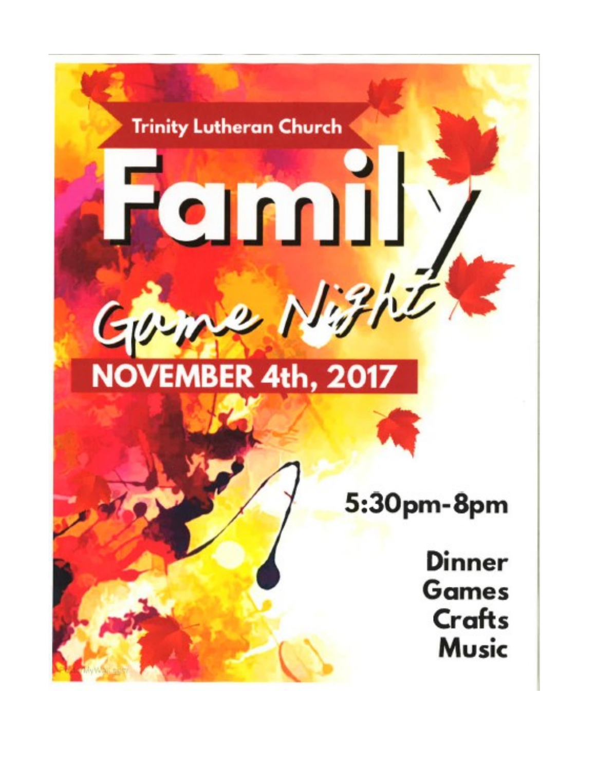